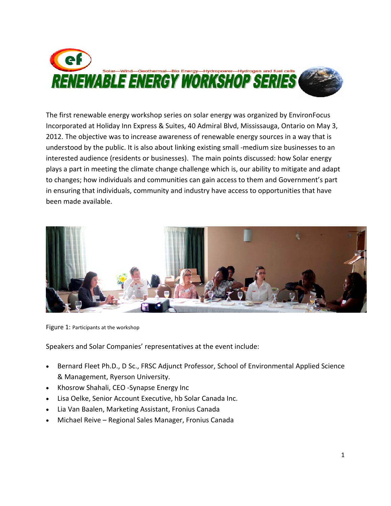

The first renewable energy workshop series on solar energy was organized by EnvironFocus Incorporated at Holiday Inn Express & Suites, 40 Admiral Blvd, Mississauga, Ontario on May 3, 2012. The objective was to increase awareness of renewable energy sources in a way that is understood by the public. It is also about linking existing small -medium size businesses to an interested audience (residents or businesses). The main points discussed: how Solar energy plays a part in meeting the climate change challenge which is, our ability to mitigate and adapt to changes; how individuals and communities can gain access to them and Government's part in ensuring that individuals, community and industry have access to opportunities that have been made available.



Figure 1: Participants at the workshop

Speakers and Solar Companies' representatives at the event include:

- Bernard Fleet Ph.D., D Sc., FRSC Adjunct Professor, School of Environmental Applied Science & Management, Ryerson University.
- Khosrow Shahali, CEO ‐Synapse Energy Inc
- Lisa Oelke, Senior Account Executive, hb Solar Canada Inc.
- Lia Van Baalen, Marketing Assistant, Fronius Canada
- Michael Reive Regional Sales Manager, Fronius Canada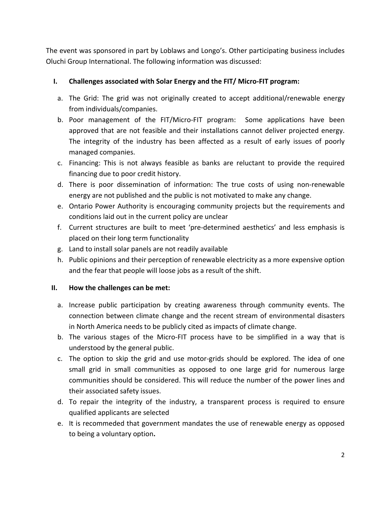The event was sponsored in part by Loblaws and Longo's. Other participating business includes Oluchi Group International. The following information was discussed:

## **I. Challenges associated with Solar Energy and the FIT/ Micro‐FIT program:**

- a. The Grid: The grid was not originally created to accept additional/renewable energy from individuals/companies.
- b. Poor management of the FIT/Micro-FIT program: Some applications have been approved that are not feasible and their installations cannot deliver projected energy. The integrity of the industry has been affected as a result of early issues of poorly managed companies.
- c. Financing: This is not always feasible as banks are reluctant to provide the required financing due to poor credit history.
- d. There is poor dissemination of information: The true costs of using non‐renewable energy are not published and the public is not motivated to make any change.
- e. Ontario Power Authority is encouraging community projects but the requirements and conditions laid out in the current policy are unclear
- f. Current structures are built to meet 'pre‐determined aesthetics' and less emphasis is placed on their long term functionality
- g. Land to install solar panels are not readily available
- h. Public opinions and their perception of renewable electricity as a more expensive option and the fear that people will loose jobs as a result of the shift.

## **II. How the challenges can be met:**

- a. Increase public participation by creating awareness through community events. The connection between climate change and the recent stream of environmental disasters in North America needs to be publicly cited as impacts of climate change.
- b. The various stages of the Micro‐FIT process have to be simplified in a way that is understood by the general public.
- c. The option to skip the grid and use motor‐grids should be explored. The idea of one small grid in small communities as opposed to one large grid for numerous large communities should be considered. This will reduce the number of the power lines and their associated safety issues.
- d. To repair the integrity of the industry, a transparent process is required to ensure qualified applicants are selected
- e. It is recommeded that government mandates the use of renewable energy as opposed to being a voluntary option**.**